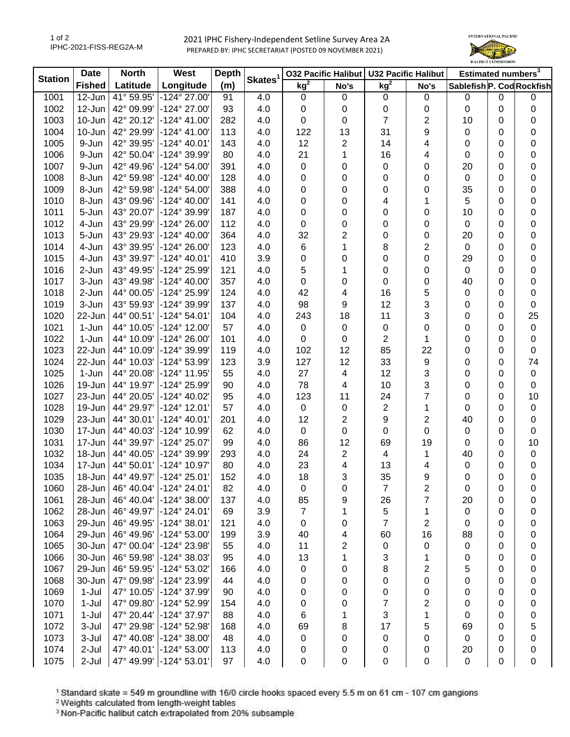2021 IPHC Fishery-Independent Setline Survey Area 2A PREPARED BY: IPHC SECRETARIAT (POSTED 09 NOVEMBER 2021)



| <b>Station</b> | <b>Date</b>   | <b>North</b><br>West |                       | <b>Depth</b> |                     |                 |                          | 032 Pacific Halibut   U32 Pacific Halibut |                | Estimated numbers <sup>3</sup> |   |             |
|----------------|---------------|----------------------|-----------------------|--------------|---------------------|-----------------|--------------------------|-------------------------------------------|----------------|--------------------------------|---|-------------|
|                | <b>Fished</b> | Latitude             | Longitude             | (m)          | Skates <sup>1</sup> | kg <sup>2</sup> | No's                     | $kg^2$                                    | No's           | Sablefish P. Cod Rockfish      |   |             |
| 1001           | 12-Jun        | 41° 59.95'           | -124° 27.00'          | 91           | 4.0                 | $\mathbf 0$     | 0                        | 0                                         | 0              | 0                              | 0 | 0           |
| 1002           | 12-Jun        | 42° 09.99'           | -124° 27.00'          | 93           | 4.0                 | 0               | 0                        | 0                                         | 0              | $\mathbf 0$                    | 0 | 0           |
| 1003           | 10-Jun        | 42° 20.12'           | -124° 41.00'          | 282          | 4.0                 | 0               | 0                        | 7                                         | 2              | 10                             | 0 | 0           |
| 1004           | 10-Jun        | 42° 29.99'           | -124° 41.00'          | 113          | 4.0                 | 122             | 13                       | 31                                        | 9              | 0                              | 0 | 0           |
| 1005           | 9-Jun         | 42° 39.95'           | $-124^{\circ}$ 40.01' | 143          | 4.0                 | 12              | 2                        | 14                                        | 4              | 0                              | 0 | 0           |
| 1006           | 9-Jun         | 42° 50.04'           | -124° 39.99'          | 80           | 4.0                 | 21              | 1                        | 16                                        | 4              | 0                              | 0 | 0           |
| 1007           | 9-Jun         | 42° 49.96'           | -124° 54.00'          | 391          | 4.0                 | 0               | 0                        | 0                                         | 0              | 20                             | 0 | 0           |
| 1008           | 8-Jun         | 42° 59.98'           | -124° 40.00'          | 128          | 4.0                 | 0               | 0                        | 0                                         | 0              | $\mathbf 0$                    | 0 | 0           |
| 1009           | 8-Jun         | 42° 59.98'           | -124° 54.00'          | 388          | 4.0                 | 0               | 0                        | 0                                         | 0              | 35                             | 0 | 0           |
| 1010           | 8-Jun         | 43° 09.96'           | -124° 40.00'          | 141          | 4.0                 | 0               | 0                        | 4                                         | 1              | 5                              | 0 | 0           |
| 1011           | 5-Jun         | 43° 20.07'           | -124° 39.99'          | 187          | 4.0                 | 0               | 0                        | 0                                         | 0              | 10                             | 0 | $\pmb{0}$   |
| 1012           | 4-Jun         | 43° 29.99'           | -124° 26.00'          | 112          | 4.0                 | 0               | 0                        | 0                                         | 0              | $\mathbf 0$                    | 0 | 0           |
| 1013           | 5-Jun         | 43° 29.93'           | $-124^{\circ}$ 40.00' | 364          | 4.0                 | 32              | 2                        | 0                                         | 0              | 20                             | 0 | 0           |
| 1014           | 4-Jun         | 43° 39.95'           | $-124^{\circ} 26.00'$ | 123          | 4.0                 | 6               | 1                        | 8                                         | 2              | $\pmb{0}$                      | 0 | 0           |
| 1015           | 4-Jun         | 43° 39.97'           | $-124^{\circ}$ 40.01' | 410          | 3.9                 | 0               | 0                        | 0                                         | 0              | 29                             | 0 | 0           |
| 1016           | 2-Jun         | 43° 49.95'           | -124° 25.99'          | 121          | 4.0                 | 5               | 1                        | 0                                         | 0              | $\mathbf 0$                    | 0 | 0           |
| 1017           | 3-Jun         | 43° 49.98'           | $-124^{\circ}$ 40.00  | 357          | 4.0                 | 0               | 0                        | 0                                         | 0              | 40                             | 0 | 0           |
| 1018           | 2-Jun         | 44° 00.05'           | -124° 25.99'          | 124          | 4.0                 | 42              | 4                        | 16                                        | 5              | 0                              | 0 | 0           |
| 1019           | 3-Jun         | 43° 59.93'           | -124° 39.99'          | 137          | 4.0                 | 98              | 9                        | 12                                        | 3              | 0                              | 0 | $\pmb{0}$   |
| 1020           | 22-Jun        | 44° 00.51'           | -124° 54.01'          | 104          | 4.0                 | 243             | 18                       | 11                                        | 3              | 0                              | 0 | 25          |
| 1021           | 1-Jun         | 44° 10.05'           | -124° 12.00'          | 57           | 4.0                 | $\pmb{0}$       | 0                        | 0                                         | 0              | 0                              | 0 | $\mathbf 0$ |
| 1022           | 1-Jun         | 44° 10.09'           | -124° 26.00'          | 101          | 4.0                 | 0               | 0                        | $\overline{2}$                            | 1              | 0                              | 0 | 0           |
| 1023           | 22-Jun        | 44° 10.09'           | -124° 39.99'          | 119          | 4.0                 | 102             | 12                       | 85                                        | 22             | 0                              | 0 | $\pmb{0}$   |
| 1024           | 22-Jun        | 44° 10.03'           | -124° 53.99'          | 123          | 3.9                 | 127             | 12                       | 33                                        | 9              | 0                              | 0 | 74          |
| 1025           | 1-Jun         | 44° 20.08'           | -124° 11.95'          | 55           | 4.0                 | 27              | $\overline{\mathbf{4}}$  | 12                                        | 3              | 0                              | 0 | $\pmb{0}$   |
| 1026           | 19-Jun        | 44° 19.97'           | -124° 25.99'          | 90           | 4.0                 | 78              | 4                        | 10                                        | 3              | 0                              | 0 | $\mathbf 0$ |
| 1027           | 23-Jun        | 44° 20.05'           | -124° 40.02'          | 95           | 4.0                 | 123             | 11                       | 24                                        | 7              | 0                              | 0 | 10          |
| 1028           | 19-Jun        | 44° 29.97'           | -124° 12.01'          | 57           | 4.0                 | $\mathbf 0$     | $\pmb{0}$                | $\boldsymbol{2}$                          | 1              | 0                              | 0 | $\pmb{0}$   |
| 1029           | 23-Jun        | 44° 30.01'           | -124° 40.01'          | 201          | 4.0                 | 12              | $\sqrt{2}$               | 9                                         | $\overline{c}$ | 40                             | 0 | $\pmb{0}$   |
| 1030           | 17-Jun        | 44° 40.03'           | -124° 10.99'          | 62           | 4.0                 | $\mathbf 0$     | $\pmb{0}$                | $\pmb{0}$                                 | 0              | 0                              | 0 | $\pmb{0}$   |
| 1031           | 17-Jun        | 44° 39.97'           | -124° 25.07'          | 99           | 4.0                 | 86              | 12                       | 69                                        | 19             | 0                              | 0 | 10          |
| 1032           | 18-Jun        | 44° 40.05'           | -124° 39.99'          | 293          | 4.0                 | 24              | 2                        | 4                                         | 1              | 40                             | 0 | $\pmb{0}$   |
| 1034           | 17-Jun        | 44° 50.01'           | -124° 10.97'          | 80           | 4.0                 | 23              | $\overline{\mathcal{A}}$ | 13                                        | 4              | 0                              | 0 | 0           |
| 1035           | 18-Jun        | 44° 49.97'           | $-124^{\circ} 25.01'$ | 152          | 4.0                 | 18              | 3                        | 35                                        | 9              | 0                              | 0 | 0           |
| 1060           | 28-Jun        | 46° 40.04'           | -124° 24.01'          | 82           | 4.0                 | 0               | 0                        | 7                                         | 2              | 0                              | 0 | 0           |
| 1061           | 28-Jun        | 46° 40.04'           | $-124^{\circ}$ 38.00' | 137          | 4.0                 | 85              | 9                        | 26                                        | 7              | 20                             | 0 | 0           |
| 1062           | 28-Jun        | 46° 49.97'           | $-124^{\circ} 24.01'$ | 69           | 3.9                 | 7               | 1                        | 5                                         | 1              | 0                              | 0 | 0           |
| 1063           | 29-Jun        | 46° 49.95'           | $-124^{\circ}38.01'$  | 121          | 4.0                 | 0               | 0                        | 7                                         | 2              | 0                              | 0 | 0           |
| 1064           | 29-Jun        | 46° 49.96'           | -124° 53.00'          | 199          | 3.9                 | 40              | 4                        | 60                                        | 16             | 88                             | 0 | 0           |
| 1065           | 30-Jun        | 47° 00.04'           | -124° 23.98'          | 55           | 4.0                 | 11              | 2                        | 0                                         | 0              | 0                              | 0 | 0           |
| 1066           | 30-Jun        | 46° 59.98'           | -124° 38.03'          | 95           | 4.0                 | 13              | 1                        | 3                                         | 1              | 0                              | 0 | 0           |
| 1067           | 29-Jun        | 46° 59.95'           | -124° 53.02'          | 166          | 4.0                 | 0               | 0                        | 8                                         | 2              | 5                              | 0 | 0           |
| 1068           | 30-Jun        | 47° 09.98'           | -124° 23.99'          | 44           | 4.0                 | 0               | 0                        | 0                                         | 0              | 0                              | 0 | 0           |
| 1069           | $1-Jul$       | 47° 10.05'           | -124° 37.99'          | 90           | 4.0                 | 0               | 0                        | 0                                         | 0              | 0                              | 0 | 0           |
| 1070           | $1-Jul$       | 47° 09.80'           | -124° 52.99'          | 154          | 4.0                 | 0               | 0                        | 7                                         | 2              | 0                              | 0 | 0           |
| 1071           | $1-Jul$       | 47° 20.44'           | -124° 37.97'          | 88           | 4.0                 | 6               | 1                        | 3                                         | 1              | 0                              | 0 | 0           |
| 1072           | 3-Jul         | 47° 29.98'           | -124° 52.98'          | 168          | 4.0                 | 69              | 8                        | 17                                        | 5              | 69                             | 0 | 5           |
| 1073           | 3-Jul         | 47° 40.08'           | -124° 38.00'          | 48           | 4.0                 | 0               | 0                        | 0                                         | 0              | 0                              | 0 | 0           |
| 1074           | 2-Jul         | 47° 40.01'           | $-124^{\circ} 53.00'$ | 113          | 4.0                 | 0               | 0                        | 0                                         | 0              | 20                             | 0 | 0           |
| 1075           | 2-Jul         | 47° 49.99'           | $-124^{\circ}53.01'$  | 97           | 4.0                 | 0               | 0                        | 0                                         | 0              | $\pmb{0}$                      | 0 | 0           |

<sup>1</sup> Standard skate = 549 m groundline with 16/0 circle hooks spaced every 5.5 m on 61 cm - 107 cm gangions <sup>2</sup> Weights calculated from length-weight tables

<sup>3</sup> Non-Pacific halibut catch extrapolated from 20% subsample